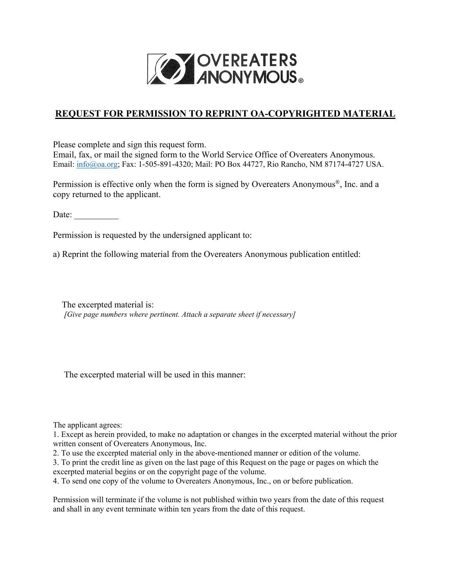

## **REQUEST FOR PERMISSION TO REPRINT OA-COPYRIGHTED MATERIAL**

Please complete and sign this request form. Email, fax, or mail the signed form to the World Service Office of Overeaters Anonymous. Email: [info@oa.org;](mailto:info@oa.org) Fax: 1-505-891-4320; Mail: PO Box 44727, Rio Rancho, NM 87174-4727 USA.

Permission is effective only when the form is signed by Overeaters Anonymous®, Inc. and a copy returned to the applicant.

Date:

Permission is requested by the undersigned applicant to:

a) Reprint the following material from the Overeaters Anonymous publication entitled:

 The excerpted material is:  *[Give page numbers where pertinent. Attach a separate sheet if necessary]*

The excerpted material will be used in this manner:

The applicant agrees:

1. Except as herein provided, to make no adaptation or changes in the excerpted material without the prior written consent of Overeaters Anonymous, Inc.

2. To use the excerpted material only in the above-mentioned manner or edition of the volume.

3. To print the credit line as given on the last page of this Request on the page or pages on which the excerpted material begins or on the copyright page of the volume.

4. To send one copy of the volume to Overeaters Anonymous, Inc., on or before publication.

Permission will terminate if the volume is not published within two years from the date of this request and shall in any event terminate within ten years from the date of this request.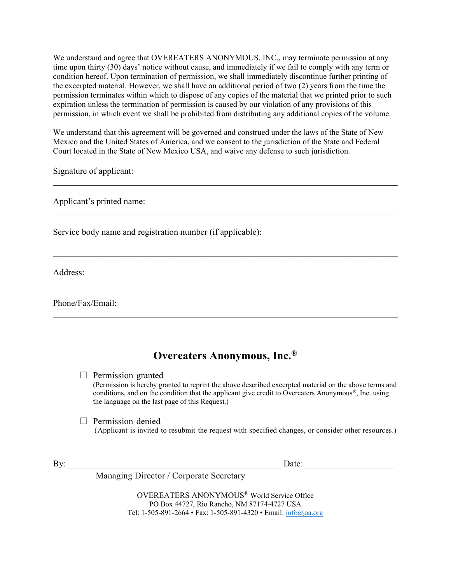We understand and agree that OVEREATERS ANONYMOUS, INC., may terminate permission at any time upon thirty (30) days' notice without cause, and immediately if we fail to comply with any term or condition hereof. Upon termination of permission, we shall immediately discontinue further printing of the excerpted material. However, we shall have an additional period of two (2) years from the time the permission terminates within which to dispose of any copies of the material that we printed prior to such expiration unless the termination of permission is caused by our violation of any provisions of this permission, in which event we shall be prohibited from distributing any additional copies of the volume.

We understand that this agreement will be governed and construed under the laws of the State of New Mexico and the United States of America, and we consent to the jurisdiction of the State and Federal Court located in the State of New Mexico USA, and waive any defense to such jurisdiction.

 $\mathcal{L}_\mathcal{L} = \mathcal{L}_\mathcal{L} = \mathcal{L}_\mathcal{L} = \mathcal{L}_\mathcal{L} = \mathcal{L}_\mathcal{L} = \mathcal{L}_\mathcal{L} = \mathcal{L}_\mathcal{L} = \mathcal{L}_\mathcal{L} = \mathcal{L}_\mathcal{L} = \mathcal{L}_\mathcal{L} = \mathcal{L}_\mathcal{L} = \mathcal{L}_\mathcal{L} = \mathcal{L}_\mathcal{L} = \mathcal{L}_\mathcal{L} = \mathcal{L}_\mathcal{L} = \mathcal{L}_\mathcal{L} = \mathcal{L}_\mathcal{L}$ 

\_\_\_\_\_\_\_\_\_\_\_\_\_\_\_\_\_\_\_\_\_\_\_\_\_\_\_\_\_\_\_\_\_\_\_\_\_\_\_\_\_\_\_\_\_\_\_\_\_\_\_\_\_\_\_\_\_\_\_\_\_\_\_\_\_\_\_\_\_\_\_\_\_\_\_\_\_\_

\_\_\_\_\_\_\_\_\_\_\_\_\_\_\_\_\_\_\_\_\_\_\_\_\_\_\_\_\_\_\_\_\_\_\_\_\_\_\_\_\_\_\_\_\_\_\_\_\_\_\_\_\_\_\_\_\_\_\_\_\_\_\_\_\_\_\_\_\_\_\_\_\_\_\_\_\_\_

 $\mathcal{L}_\mathcal{L} = \mathcal{L}_\mathcal{L} = \mathcal{L}_\mathcal{L} = \mathcal{L}_\mathcal{L} = \mathcal{L}_\mathcal{L} = \mathcal{L}_\mathcal{L} = \mathcal{L}_\mathcal{L} = \mathcal{L}_\mathcal{L} = \mathcal{L}_\mathcal{L} = \mathcal{L}_\mathcal{L} = \mathcal{L}_\mathcal{L} = \mathcal{L}_\mathcal{L} = \mathcal{L}_\mathcal{L} = \mathcal{L}_\mathcal{L} = \mathcal{L}_\mathcal{L} = \mathcal{L}_\mathcal{L} = \mathcal{L}_\mathcal{L}$ 

\_\_\_\_\_\_\_\_\_\_\_\_\_\_\_\_\_\_\_\_\_\_\_\_\_\_\_\_\_\_\_\_\_\_\_\_\_\_\_\_\_\_\_\_\_\_\_\_\_\_\_\_\_\_\_\_\_\_\_\_\_\_\_\_\_\_\_\_\_\_\_\_\_\_\_\_\_\_

Signature of applicant:

Applicant's printed name:

Service body name and registration number (if applicable):

Address:

Phone/Fax/Email:

## **Overeaters Anonymous, Inc.®**

 $\Box$  Permission granted

(Permission is hereby granted to reprint the above described excerpted material on the above terms and conditions, and on the condition that the applicant give credit to Overeaters Anonymous®, Inc. using the language on the last page of this Request.)

 $\Box$  Permission denied<br>(Applicant is invited to resubmit the request with specified changes, or consider other resources.)

By: the contract of the contract of the contract of the contract of the contract of the contract of the contract of the contract of the contract of the contract of the contract of the contract of the contract of the contra

Managing Director / Corporate Secretary

OVEREATERS ANONYMOUS® World Service Office PO Box 44727, Rio Rancho, NM 87174-4727 USA Tel: 1-505-891-2664 • Fax: 1-505-891-4320 • Email: [info@oa.org](mailto:info@oa.org)